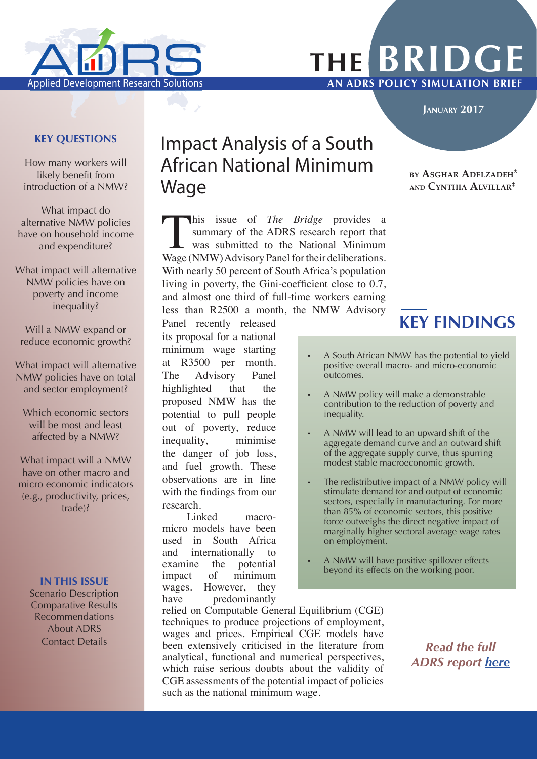

# **the BRIDGE** Applied Development Research Solutions **AN ADRS POLICY SIMULATION BRIEF**

#### **January 2017**

#### **KEY QUESTIONS**

How many workers will likely benefit from introduction of a NMW?

What impact do alternative NMW policies have on household income and expenditure?

What impact will alternative NMW policies have on poverty and income inequality?

Will a NMW expand or reduce economic growth?

What impact will alternative NMW policies have on total and sector employment?

Which economic sectors will be most and least affected by a NMW?

What impact will a NMW have on other macro and micro economic indicators (e.g., productivity, prices, trade)?

#### **IN THIS ISSUE**

Scenario Description Comparative Results Recommendations About ADRS Contact Details

## Impact Analysis of a South African National Minimum Wage

This issue of *The Bridge* provides a summary of the ADRS research report that was submitted to the National Minimum Wage (NMW) Advisory Panel for their deliberations. With nearly 50 percent of South Africa's population living in poverty, the Gini-coefficient close to 0.7, and almost one third of full-time workers earning less than R2500 a month, the NMW Advisory

Panel recently released **KEY FINDINGS** its proposal for a national minimum wage starting at R3500 per month. The Advisory Panel highlighted that the proposed NMW has the potential to pull people out of poverty, reduce inequality, minimise the danger of job loss, and fuel growth. These observations are in line with the findings from our research.

Linked macromicro models have been used in South Africa and internationally to examine the potential impact of minimum wages. However, they have predominantly

#### **by Asghar Adelzadeh\* and Cynthia Alvillar‡**

- A South African NMW has the potential to yield positive overall macro- and micro-economic outcomes.
- A NMW policy will make a demonstrable contribution to the reduction of poverty and inequality.
- A NMW will lead to an upward shift of the aggregate demand curve and an outward shift of the aggregate supply curve, thus spurring modest stable macroeconomic growth.
- The redistributive impact of a NMW policy will stimulate demand for and output of economic sectors, especially in manufacturing. For more than 85% of economic sectors, this positive force outweighs the direct negative impact of marginally higher sectoral average wage rates on employment.
- A NMW will have positive spillover effects beyond its effects on the working poor.

relied on Computable General Equilibrium (CGE) techniques to produce projections of employment, wages and prices. Empirical CGE models have been extensively criticised in the literature from analytical, functional and numerical perspectives, which raise serious doubts about the validity of CGE assessments of the potential impact of policies such as the national minimum wage.

*Read the full ADRS report [here](http://nationalminimumwage.co.za/wp-content/uploads/2016/07/The-impact-of-a-NMW-on-SA-economy-Final.pdf)*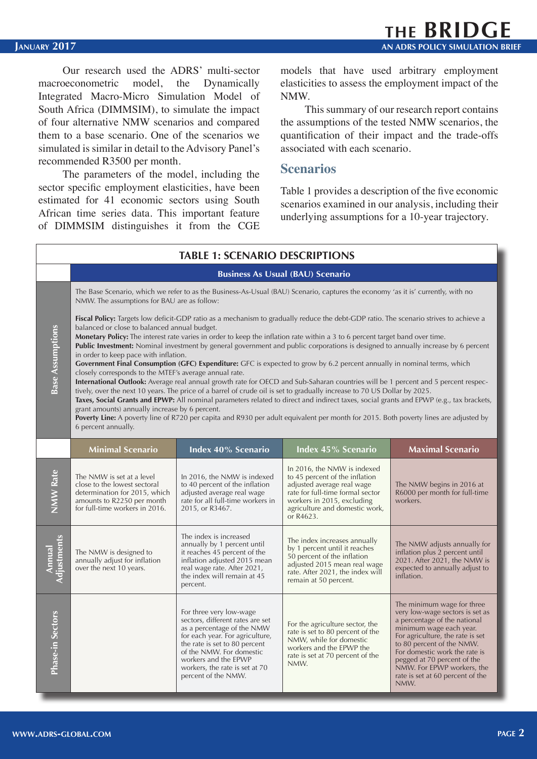Our research used the ADRS' multi-sector macroeconometric model, the Dynamically Integrated Macro-Micro Simulation Model of South Africa (DIMMSIM), to simulate the impact of four alternative NMW scenarios and compared them to a base scenario. One of the scenarios we simulated is similar in detail to the Advisory Panel's recommended R3500 per month.

The parameters of the model, including the sector specific employment elasticities, have been estimated for 41 economic sectors using South African time series data. This important feature of DIMMSIM distinguishes it from the CGE models that have used arbitrary employment elasticities to assess the employment impact of the NMW.

This summary of our research report contains the assumptions of the tested NMW scenarios, the quantification of their impact and the trade-offs associated with each scenario.

#### **Scenarios**

Table 1 provides a description of the five economic scenarios examined in our analysis, including their underlying assumptions for a 10-year trajectory.

| <b>TABLE 1: SCENARIO DESCRIPTIONS</b> |                                                                                                                                                                                                                                                                                                                                                                                                                                                                                                                                                                                                                                                                                                                                                                                                                                                                                                                                                                                                                                                                                                                                                                                                                                                                                                                              |                                                                                                                                                                                                                                                                            |                                                                                                                                                                                                              |                                                                                                                                                                                                                                                                                                                                     |
|---------------------------------------|------------------------------------------------------------------------------------------------------------------------------------------------------------------------------------------------------------------------------------------------------------------------------------------------------------------------------------------------------------------------------------------------------------------------------------------------------------------------------------------------------------------------------------------------------------------------------------------------------------------------------------------------------------------------------------------------------------------------------------------------------------------------------------------------------------------------------------------------------------------------------------------------------------------------------------------------------------------------------------------------------------------------------------------------------------------------------------------------------------------------------------------------------------------------------------------------------------------------------------------------------------------------------------------------------------------------------|----------------------------------------------------------------------------------------------------------------------------------------------------------------------------------------------------------------------------------------------------------------------------|--------------------------------------------------------------------------------------------------------------------------------------------------------------------------------------------------------------|-------------------------------------------------------------------------------------------------------------------------------------------------------------------------------------------------------------------------------------------------------------------------------------------------------------------------------------|
|                                       | <b>Business As Usual (BAU) Scenario</b>                                                                                                                                                                                                                                                                                                                                                                                                                                                                                                                                                                                                                                                                                                                                                                                                                                                                                                                                                                                                                                                                                                                                                                                                                                                                                      |                                                                                                                                                                                                                                                                            |                                                                                                                                                                                                              |                                                                                                                                                                                                                                                                                                                                     |
|                                       | The Base Scenario, which we refer to as the Business-As-Usual (BAU) Scenario, captures the economy 'as it is' currently, with no<br>NMW. The assumptions for BAU are as follow:                                                                                                                                                                                                                                                                                                                                                                                                                                                                                                                                                                                                                                                                                                                                                                                                                                                                                                                                                                                                                                                                                                                                              |                                                                                                                                                                                                                                                                            |                                                                                                                                                                                                              |                                                                                                                                                                                                                                                                                                                                     |
| <b>Base Assumptions</b>               | <b>Fiscal Policy:</b> Targets low deficit-GDP ratio as a mechanism to gradually reduce the debt-GDP ratio. The scenario strives to achieve a<br>balanced or close to balanced annual budget.<br>Monetary Policy: The interest rate varies in order to keep the inflation rate within a 3 to 6 percent target band over time.<br>Public Investment: Nominal investment by general government and public corporations is designed to annually increase by 6 percent<br>in order to keep pace with inflation.<br>Government Final Consumption (GFC) Expenditure: GFC is expected to grow by 6.2 percent annually in nominal terms, which<br>closely corresponds to the MTEF's average annual rate.<br>International Outlook: Average real annual growth rate for OECD and Sub-Saharan countries will be 1 percent and 5 percent respec-<br>tively, over the next 10 years. The price of a barrel of crude oil is set to gradually increase to 70 US Dollar by 2025.<br>Taxes, Social Grants and EPWP: All nominal parameters related to direct and indirect taxes, social grants and EPWP (e.g., tax brackets,<br>grant amounts) annually increase by 6 percent.<br>Poverty Line: A poverty line of R720 per capita and R930 per adult equivalent per month for 2015. Both poverty lines are adjusted by<br>6 percent annually. |                                                                                                                                                                                                                                                                            |                                                                                                                                                                                                              |                                                                                                                                                                                                                                                                                                                                     |
|                                       | <b>Minimal Scenario</b>                                                                                                                                                                                                                                                                                                                                                                                                                                                                                                                                                                                                                                                                                                                                                                                                                                                                                                                                                                                                                                                                                                                                                                                                                                                                                                      | Index 40% Scenario                                                                                                                                                                                                                                                         | Index 45% Scenario                                                                                                                                                                                           | <b>Maximal Scenario</b>                                                                                                                                                                                                                                                                                                             |
| <b>NMW Rate</b>                       | The NMW is set at a level<br>close to the lowest sectoral<br>determination for 2015, which<br>amounts to R2250 per month<br>for full-time workers in 2016.                                                                                                                                                                                                                                                                                                                                                                                                                                                                                                                                                                                                                                                                                                                                                                                                                                                                                                                                                                                                                                                                                                                                                                   | In 2016, the NMW is indexed<br>to 40 percent of the inflation<br>adjusted average real wage<br>rate for all full-time workers in<br>2015, or R3467.                                                                                                                        | In 2016, the NMW is indexed<br>to 45 percent of the inflation<br>adjusted average real wage<br>rate for full-time formal sector<br>workers in 2015, excluding<br>agriculture and domestic work,<br>or R4623. | The NMW begins in 2016 at<br>R6000 per month for full-time<br>workers.                                                                                                                                                                                                                                                              |
| Annual<br>Adjustments                 | The NMW is designed to<br>annually adjust for inflation<br>over the next 10 years.                                                                                                                                                                                                                                                                                                                                                                                                                                                                                                                                                                                                                                                                                                                                                                                                                                                                                                                                                                                                                                                                                                                                                                                                                                           | The index is increased<br>annually by 1 percent until<br>it reaches 45 percent of the<br>inflation adjusted 2015 mean<br>real wage rate. After 2021,<br>the index will remain at 45<br>percent.                                                                            | The index increases annually<br>by 1 percent until it reaches<br>50 percent of the inflation<br>adjusted 2015 mean real wage<br>rate. After 2021, the index will<br>remain at 50 percent.                    | The NMW adjusts annually for<br>inflation plus 2 percent until<br>2021. After 2021, the NMW is<br>expected to annually adjust to<br>inflation.                                                                                                                                                                                      |
| Phase-in Sectors                      |                                                                                                                                                                                                                                                                                                                                                                                                                                                                                                                                                                                                                                                                                                                                                                                                                                                                                                                                                                                                                                                                                                                                                                                                                                                                                                                              | For three very low-wage<br>sectors, different rates are set<br>as a percentage of the NMW<br>for each year. For agriculture,<br>the rate is set to 80 percent<br>of the NMW. For domestic<br>workers and the EPWP<br>workers, the rate is set at 70<br>percent of the NMW. | For the agriculture sector, the<br>rate is set to 80 percent of the<br>NMW, while for domestic<br>workers and the EPWP the<br>rate is set at 70 percent of the<br>NMW.                                       | The minimum wage for three<br>very low-wage sectors is set as<br>a percentage of the national<br>minimum wage each year.<br>For agriculture, the rate is set<br>to 80 percent of the NMW.<br>For domestic work the rate is<br>pegged at 70 percent of the<br>NMW. For EPWP workers, the<br>rate is set at 60 percent of the<br>NMW. |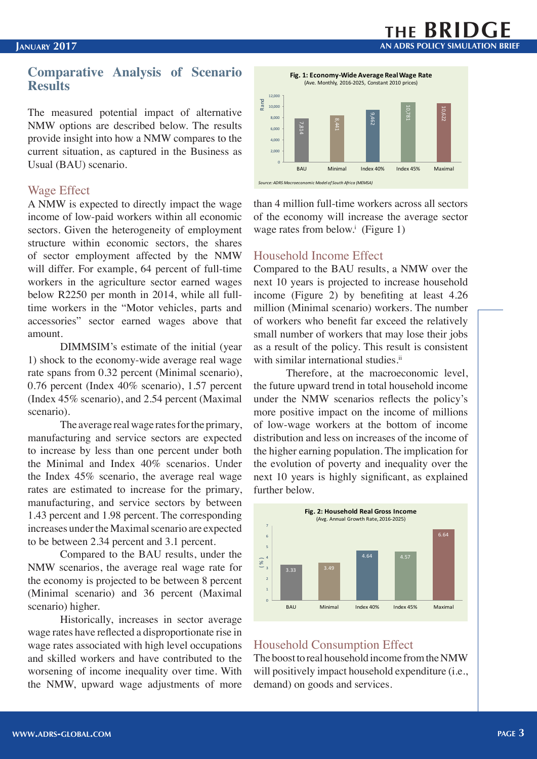#### **Comparative Analysis of Scenario Results**

The measured potential impact of alternative NMW options are described below. The results provide insight into how a NMW compares to the current situation, as captured in the Business as Usual (BAU) scenario.

#### Wage Effect

A NMW is expected to directly impact the wage income of low-paid workers within all economic sectors. Given the heterogeneity of employment structure within economic sectors, the shares of sector employment affected by the NMW will differ. For example, 64 percent of full-time workers in the agriculture sector earned wages below R2250 per month in 2014, while all fulltime workers in the "Motor vehicles, parts and accessories" sector earned wages above that amount.

DIMMSIM's estimate of the initial (year 1) shock to the economy-wide average real wage rate spans from 0.32 percent (Minimal scenario), 0.76 percent (Index 40% scenario), 1.57 percent (Index 45% scenario), and 2.54 percent (Maximal scenario).

The average real wage rates for the primary, manufacturing and service sectors are expected to increase by less than one percent under both the Minimal and Index 40% scenarios. Under the Index 45% scenario, the average real wage rates are estimated to increase for the primary, manufacturing, and service sectors by between 1.43 percent and 1.98 percent. The corresponding increases under the Maximal scenario are expected to be between 2.34 percent and 3.1 percent.

Compared to the BAU results, under the NMW scenarios, the average real wage rate for the economy is projected to be between 8 percent (Minimal scenario) and 36 percent (Maximal scenario) higher.

Historically, increases in sector average wage rates have reflected a disproportionate rise in wage rates associated with high level occupations and skilled workers and have contributed to the worsening of income inequality over time. With the NMW, upward wage adjustments of more



than 4 million full-time workers across all sectors of the economy will increase the average sector wage rates from below.<sup>i</sup> (Figure 1)

#### Household Income Effect

Compared to the BAU results, a NMW over the next 10 years is projected to increase household income (Figure 2) by benefiting at least 4.26 million (Minimal scenario) workers. The number of workers who benefit far exceed the relatively small number of workers that may lose their jobs as a result of the policy. This result is consistent with similar international studies.<sup>ii</sup>

Therefore, at the macroeconomic level, the future upward trend in total household income under the NMW scenarios reflects the policy's more positive impact on the income of millions of low-wage workers at the bottom of income distribution and less on increases of the income of the higher earning population. The implication for the evolution of poverty and inequality over the next 10 years is highly significant, as explained further below.



#### Household Consumption Effect

The boost to real household income from the NMW will positively impact household expenditure (i.e., demand) on goods and services.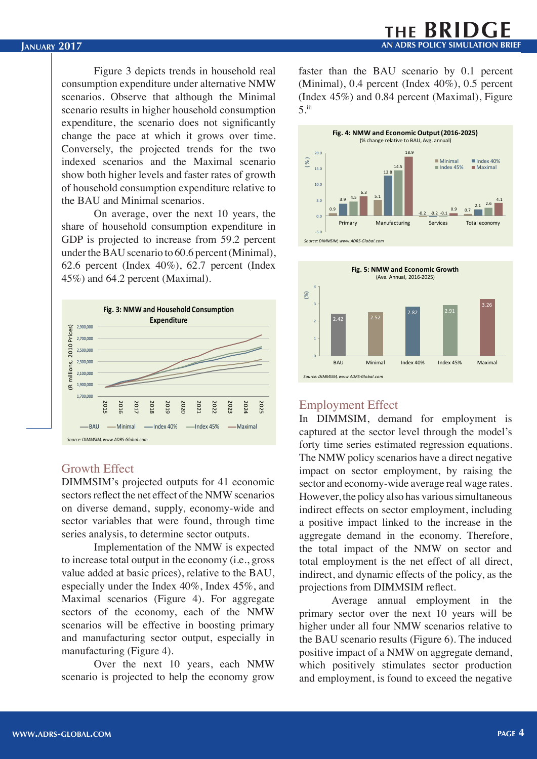Figure 3 depicts trends in household real consumption expenditure under alternative NMW scenarios. Observe that although the Minimal scenario results in higher household consumption expenditure, the scenario does not significantly change the pace at which it grows over time. Conversely, the projected trends for the two indexed scenarios and the Maximal scenario show both higher levels and faster rates of growth of household consumption expenditure relative to the BAU and Minimal scenarios.

On average, over the next 10 years, the share of household consumption expenditure in GDP is projected to increase from 59.2 percent under the BAU scenario to 60.6 percent (Minimal), 62.6 percent (Index 40%), 62.7 percent (Index 45%) and 64.2 percent (Maximal).



#### Growth Effect

DIMMSIM's projected outputs for 41 economic sectors reflect the net effect of the NMW scenarios on diverse demand, supply, economy-wide and sector variables that were found, through time series analysis, to determine sector outputs.

Implementation of the NMW is expected to increase total output in the economy (i.e., gross value added at basic prices), relative to the BAU, especially under the Index 40%, Index 45%, and Maximal scenarios (Figure 4). For aggregate sectors of the economy, each of the NMW scenarios will be effective in boosting primary and manufacturing sector output, especially in manufacturing (Figure 4).

Over the next 10 years, each NMW scenario is projected to help the economy grow

faster than the BAU scenario by 0.1 percent (Minimal), 0.4 percent (Index 40%), 0.5 percent (Index 45%) and 0.84 percent (Maximal), Figure 5.iii





#### Employment Effect

In DIMMSIM, demand for employment is captured at the sector level through the model's forty time series estimated regression equations. The NMW policy scenarios have a direct negative impact on sector employment, by raising the sector and economy-wide average real wage rates. However, the policy also has various simultaneous indirect effects on sector employment, including a positive impact linked to the increase in the aggregate demand in the economy. Therefore, the total impact of the NMW on sector and total employment is the net effect of all direct, indirect, and dynamic effects of the policy, as the projections from DIMMSIM reflect.

Average annual employment in the primary sector over the next 10 years will be higher under all four NMW scenarios relative to the BAU scenario results (Figure 6). The induced positive impact of a NMW on aggregate demand, which positively stimulates sector production and employment, is found to exceed the negative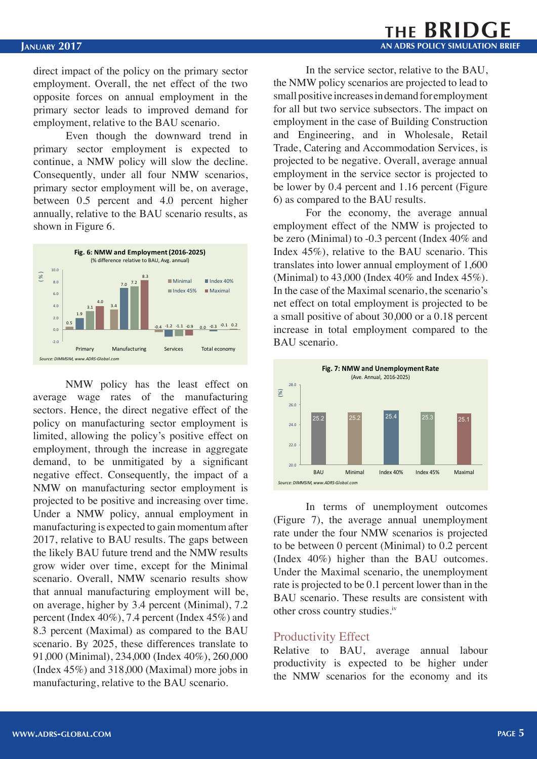direct impact of the policy on the primary sector employment. Overall, the net effect of the two opposite forces on annual employment in the primary sector leads to improved demand for employment, relative to the BAU scenario.

Even though the downward trend in primary sector employment is expected to continue, a NMW policy will slow the decline. Consequently, under all four NMW scenarios, primary sector employment will be, on average, between 0.5 percent and 4.0 percent higher annually, relative to the BAU scenario results, as shown in Figure 6.



NMW policy has the least effect on average wage rates of the manufacturing sectors. Hence, the direct negative effect of the policy on manufacturing sector employment is limited, allowing the policy's positive effect on employment, through the increase in aggregate demand, to be unmitigated by a significant negative effect. Consequently, the impact of a NMW on manufacturing sector employment is projected to be positive and increasing over time. Under a NMW policy, annual employment in manufacturing is expected to gain momentum after 2017, relative to BAU results. The gaps between the likely BAU future trend and the NMW results grow wider over time, except for the Minimal scenario. Overall, NMW scenario results show that annual manufacturing employment will be, on average, higher by 3.4 percent (Minimal), 7.2 percent (Index 40%), 7.4 percent (Index 45%) and 8.3 percent (Maximal) as compared to the BAU scenario. By 2025, these differences translate to 91,000 (Minimal), 234,000 (Index 40%), 260,000 (Index 45%) and 318,000 (Maximal) more jobs in manufacturing, relative to the BAU scenario.

In the service sector, relative to the BAU, the NMW policy scenarios are projected to lead to small positive increases in demand for employment for all but two service subsectors. The impact on employment in the case of Building Construction and Engineering, and in Wholesale, Retail Trade, Catering and Accommodation Services, is projected to be negative. Overall, average annual employment in the service sector is projected to be lower by 0.4 percent and 1.16 percent (Figure 6) as compared to the BAU results.

For the economy, the average annual employment effect of the NMW is projected to be zero (Minimal) to -0.3 percent (Index 40% and Index 45%), relative to the BAU scenario. This translates into lower annual employment of 1,600 (Minimal) to 43,000 (Index 40% and Index 45%). In the case of the Maximal scenario, the scenario's net effect on total employment is projected to be a small positive of about 30,000 or a 0.18 percent increase in total employment compared to the BAU scenario.



In terms of unemployment outcomes (Figure 7), the average annual unemployment rate under the four NMW scenarios is projected to be between 0 percent (Minimal) to 0.2 percent (Index 40%) higher than the BAU outcomes. Under the Maximal scenario, the unemployment rate is projected to be 0.1 percent lower than in the BAU scenario. These results are consistent with other cross country studies.iv

#### Productivity Effect

Relative to BAU, average annual labour productivity is expected to be higher under the NMW scenarios for the economy and its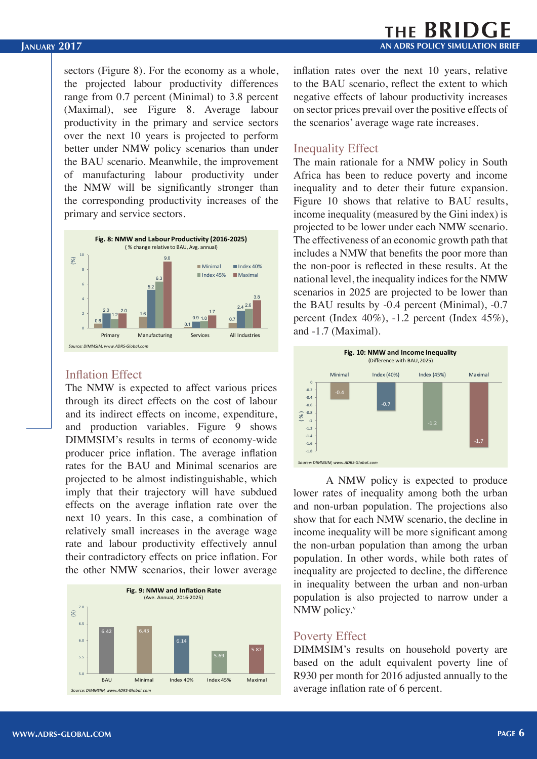sectors (Figure 8). For the economy as a whole, the projected labour productivity differences range from 0.7 percent (Minimal) to 3.8 percent (Maximal), see Figure 8. Average labour productivity in the primary and service sectors over the next 10 years is projected to perform better under NMW policy scenarios than under the BAU scenario. Meanwhile, the improvement of manufacturing labour productivity under the NMW will be significantly stronger than the corresponding productivity increases of the primary and service sectors.



#### Inflation Effect

The NMW is expected to affect various prices through its direct effects on the cost of labour and its indirect effects on income, expenditure, and production variables. Figure 9 shows DIMMSIM's results in terms of economy-wide producer price inflation. The average inflation rates for the BAU and Minimal scenarios are projected to be almost indistinguishable, which imply that their trajectory will have subdued effects on the average inflation rate over the next 10 years. In this case, a combination of relatively small increases in the average wage rate and labour productivity effectively annul their contradictory effects on price inflation. For the other NMW scenarios, their lower average



inflation rates over the next 10 years, relative to the BAU scenario, reflect the extent to which negative effects of labour productivity increases on sector prices prevail over the positive effects of the scenarios' average wage rate increases.

#### Inequality Effect

The main rationale for a NMW policy in South Africa has been to reduce poverty and income inequality and to deter their future expansion. Figure 10 shows that relative to BAU results, income inequality (measured by the Gini index) is projected to be lower under each NMW scenario. The effectiveness of an economic growth path that includes a NMW that benefits the poor more than the non-poor is reflected in these results. At the national level, the inequality indices for the NMW scenarios in 2025 are projected to be lower than the BAU results by -0.4 percent (Minimal), -0.7 percent (Index 40%), -1.2 percent (Index 45%), and -1.7 (Maximal).



A NMW policy is expected to produce lower rates of inequality among both the urban and non-urban population. The projections also show that for each NMW scenario, the decline in income inequality will be more significant among the non-urban population than among the urban population. In other words, while both rates of inequality are projected to decline, the difference in inequality between the urban and non-urban population is also projected to narrow under a NMW policy. $v$ 

#### Poverty Effect

DIMMSIM's results on household poverty are based on the adult equivalent poverty line of R930 per month for 2016 adjusted annually to the average inflation rate of 6 percent.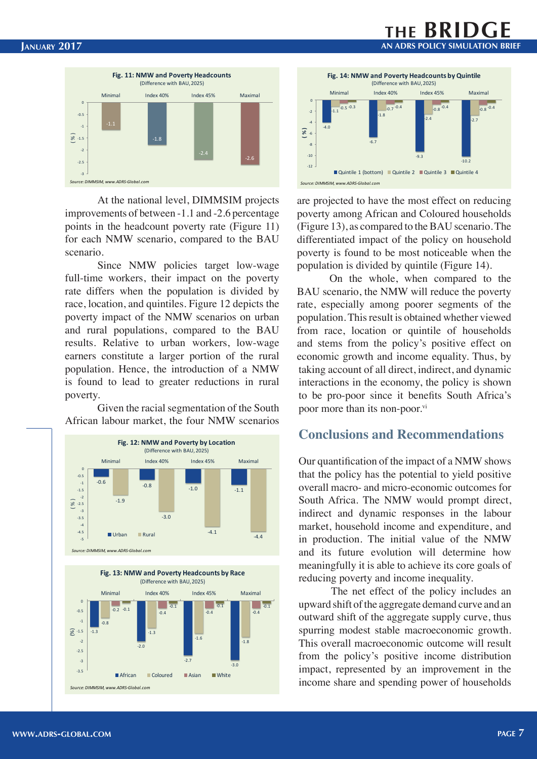

At the national level, DIMMSIM projects improvements of between -1.1 and -2.6 percentage points in the headcount poverty rate (Figure 11) for each NMW scenario, compared to the BAU scenario.

Since NMW policies target low-wage full-time workers, their impact on the poverty rate differs when the population is divided by race, location, and quintiles. Figure 12 depicts the poverty impact of the NMW scenarios on urban and rural populations, compared to the BAU results. Relative to urban workers, low-wage earners constitute a larger portion of the rural population. Hence, the introduction of a NMW is found to lead to greater reductions in rural poverty.

Given the racial segmentation of the South African labour market, the four NMW scenarios





**AN ADRS POLICY SIMULATION BRIEF AN ADRS POLICY SIMULATION BRIEF**

are projected to have the most effect on reducing poverty among African and Coloured households (Figure 13), as compared to the BAU scenario. The differentiated impact of the policy on household poverty is found to be most noticeable when the population is divided by quintile (Figure 14).

On the whole, when compared to the BAU scenario, the NMW will reduce the poverty rate, especially among poorer segments of the population. This result is obtained whether viewed from race, location or quintile of households and stems from the policy's positive effect on economic growth and income equality. Thus, by taking account of all direct, indirect, and dynamic interactions in the economy, the policy is shown to be pro-poor since it benefits South Africa's poor more than its non-poor.<sup>vi</sup>

#### **Conclusions and Recommendations**

Our quantification of the impact of a NMW shows that the policy has the potential to yield positive overall macro- and micro-economic outcomes for South Africa. The NMW would prompt direct, indirect and dynamic responses in the labour market, household income and expenditure, and in production. The initial value of the NMW and its future evolution will determine how meaningfully it is able to achieve its core goals of reducing poverty and income inequality.

The net effect of the policy includes an upward shift of the aggregate demand curve and an outward shift of the aggregate supply curve, thus spurring modest stable macroeconomic growth. This overall macroeconomic outcome will result from the policy's positive income distribution impact, represented by an improvement in the income share and spending power of households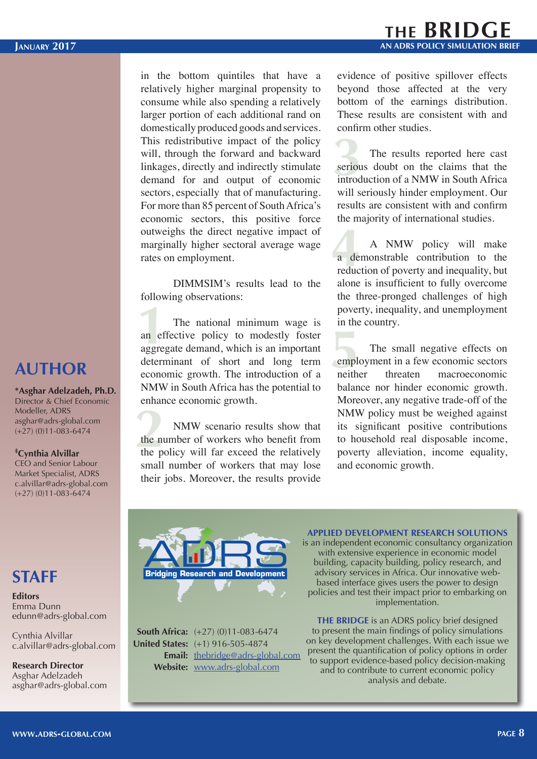in the bottom quintiles that have a relatively higher marginal propensity to consume while also spending a relatively larger portion of each additional rand on domestically produced goods and services. This redistributive impact of the policy will, through the forward and backward linkages, directly and indirectly stimulate demand for and output of economic sectors, especially that of manufacturing. For more than 85 percent of South Africa's economic sectors, this positive force outweighs the direct negative impact of marginally higher sectoral average wage rates on employment.

DIMMSIM's results lead to the following observations:

pover<br>
The national minimum wage is in the<br>
an effective policy to modestly foster<br>
aggregate demand, which is an important<br>
determinant of short and long term emple<br>
economic growth. The introduction of a neither The national minimum wage is an effective policy to modestly foster aggregate demand, which is an important determinant of short and long term NMW in South Africa has the potential to enhance economic growth.

the number of the post of the post of the post of the post of the post of the post of the post of the post of the post of the post of the post of the post of the post of the post of the post of the post of the post of the NMW scenario results show that the number of workers who benefit from the policy will far exceed the relatively small number of workers that may lose their jobs. Moreover, the results provide evidence of positive spillover effects beyond those affected at the very bottom of the earnings distribution. These results are consistent with and confirm other studies.

**3**<br>**3**<br>**3**<br>**3**<br>**3**<br>**5**<br>**1** The results reported here cast serious doubt on the claims that the introduction of a NMW in South Africa will seriously hinder employment. Our results are consistent with and confirm the majority of international studies.

**4** NMW policy will make<br>a demonstrable contribution to the<br>reduction of poverty and inequality, but A NMW policy will make a demonstrable contribution to the alone is insufficient to fully overcome the three-pronged challenges of high poverty, inequality, and unemployment in the country.

The small negative effects on employment in a few economic sectors neither threaten macroeconomic balance nor hinder economic growth. Moreover, any negative trade-off of the NMW policy must be weighed against its significant positive contributions to household real disposable income, poverty alleviation, income equality, and economic growth.



**South Africa:**  $(+27)$  (0)11-083-6474 (+1) 916-505-4874 **United States: Email:** [thebridge@adrs-global.com](mailto:thebridge@adrs-global.com) Website: [www.adrs-global.com](http://www.adrs-global.com)

**APPLIED DEVELOPMENT RESEARCH SOLUTIONS**

is an independent economic consultancy organization with extensive experience in economic model building, capacity building, policy research, and advisory services in Africa. Our innovative webbased interface gives users the power to design policies and test their impact prior to embarking on implementation.

**THE BRIDGE** is an ADRS policy brief designed to present the main findings of policy simulations on key development challenges. With each issue we present the quantification of policy options in order to support evidence-based policy decision-making and to contribute to current economic policy analysis and debate.

### **AUTHOR**

#### **\*Asghar Adelzadeh, Ph.D.** Director & Chief Economic Modeller, ADRS asghar@adrs-global.com

### **‡ Cynthia Alvillar**

(+27) (0)11-083-6474

CEO and Senior Labour Market Specialist, ADRS c.alvillar@adrs-global.com (+27) (0)11-083-6474

### **STAFF**

#### **Editors** Emma Dunn edunn@adrs-global.com

Cynthia Alvillar [c.alvillar@adrs-global.com](mailto:c.alvillar@adrs-global.com)

**Research Director** Asghar Adelzadeh [asghar@adrs-global.com](mailto:asghar@adrs-global.com)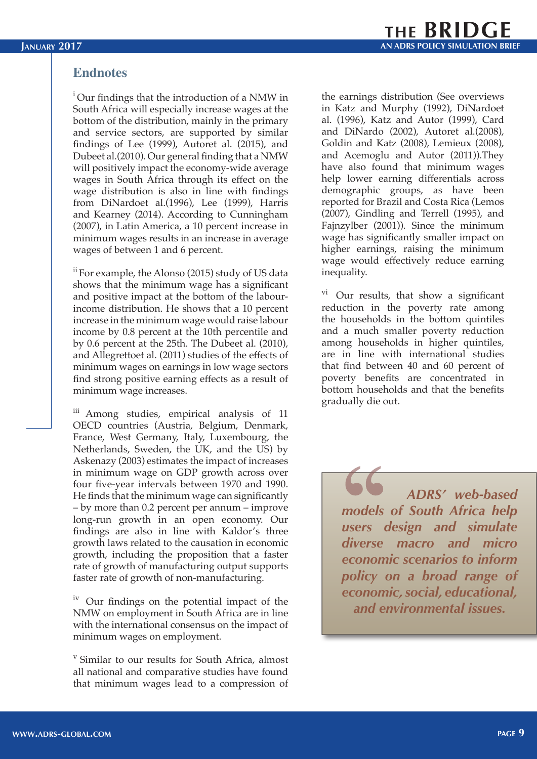#### **Endnotes**

<sup>i</sup>Our findings that the introduction of a NMW in South Africa will especially increase wages at the bottom of the distribution, mainly in the primary and service sectors, are supported by similar findings of Lee (1999), Autoret al. (2015), and Dubeet al.(2010). Our general finding that a NMW will positively impact the economy-wide average wages in South Africa through its effect on the wage distribution is also in line with findings from DiNardoet al.(1996), Lee (1999), Harris and Kearney (2014). According to Cunningham (2007), in Latin America, a 10 percent increase in minimum wages results in an increase in average wages of between 1 and 6 percent.

ii For example, the Alonso (2015) study of US data shows that the minimum wage has a significant and positive impact at the bottom of the labourincome distribution. He shows that a 10 percent increase in the minimum wage would raise labour income by 0.8 percent at the 10th percentile and by 0.6 percent at the 25th. The Dubeet al. (2010), and Allegrettoet al. (2011) studies of the effects of minimum wages on earnings in low wage sectors find strong positive earning effects as a result of minimum wage increases.

iii Among studies, empirical analysis of 11 OECD countries (Austria, Belgium, Denmark, France, West Germany, Italy, Luxembourg, the Netherlands, Sweden, the UK, and the US) by Askenazy (2003) estimates the impact of increases in minimum wage on GDP growth across over four five-year intervals between 1970 and 1990. He finds that the minimum wage can significantly – by more than 0.2 percent per annum – improve long-run growth in an open economy. Our findings are also in line with Kaldor's three growth laws related to the causation in economic growth, including the proposition that a faster rate of growth of manufacturing output supports faster rate of growth of non-manufacturing.

<sup>iv</sup> Our findings on the potential impact of the NMW on employment in South Africa are in line with the international consensus on the impact of minimum wages on employment.

v Similar to our results for South Africa, almost all national and comparative studies have found that minimum wages lead to a compression of the earnings distribution (See overviews in Katz and Murphy (1992), DiNardoet al. (1996), Katz and Autor (1999), Card and DiNardo (2002), Autoret al.(2008), Goldin and Katz (2008), Lemieux (2008), and Acemoglu and Autor (2011)).They have also found that minimum wages help lower earning differentials across demographic groups, as have been reported for Brazil and Costa Rica (Lemos (2007), Gindling and Terrell (1995), and Fajnzylber (2001)). Since the minimum wage has significantly smaller impact on higher earnings, raising the minimum wage would effectively reduce earning inequality.

 $\overline{v}$ <sup>vi</sup> Our results, that show a significant reduction in the poverty rate among the households in the bottom quintiles and a much smaller poverty reduction among households in higher quintiles, are in line with international studies that find between 40 and 60 percent of poverty benefits are concentrated in bottom households and that the benefits gradually die out.

> *ADRS' web-based models of South Africa help users design and simulate diverse macro and micro economic scenarios to inform policy on a broad range of economic, social, educational, and environmental issues.*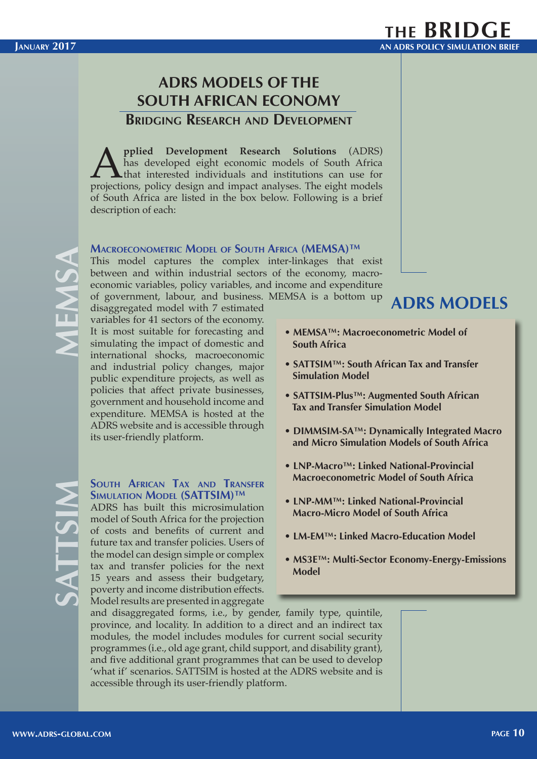### **ADRS MODELS OF THE SOUTH AFRICAN ECONOMY**

**Bridging Research and Development**

**A pplied Development Research Solutions** (ADRS) has developed eight economic models of South Africa that interested individuals and institutions can use for projections, policy design and impact analyses. The eight mode has developed eight economic models of South Africa that interested individuals and institutions can use for projections, policy design and impact analyses. The eight models of South Africa are listed in the box below. Following is a brief description of each:

#### **Macroeconometric Model of South Africa (MEMSA)™**

This model captures the complex inter-linkages that exist between and within industrial sectors of the economy, macroeconomic variables, policy variables, and income and expenditure of government, labour, and business. MEMSA is a bottom up

disaggregated model with 7 estimated variables for 41 sectors of the economy. It is most suitable for forecasting and simulating the impact of domestic and international shocks, macroeconomic and industrial policy changes, major public expenditure projects, as well as policies that affect private businesses, government and household income and expenditure. MEMSA is hosted at the ADRS website and is accessible through its user-friendly platform.

#### **South African Tax and Transfer Simulation Model (SATTSIM)™**

ADRS has built this microsimulation model of South Africa for the projection of costs and benefits of current and future tax and transfer policies. Users of the model can design simple or complex tax and transfer policies for the next 15 years and assess their budgetary, poverty and income distribution effects. Model results are presented in aggregate

### **ADRS MODELS**

- **MEMSA™: Macroeconometric Model of South Africa**
- **SATTSIM™: South African Tax and Transfer Simulation Model**
- **SATTSIM-Plus™: Augmented South African Tax and Transfer Simulation Model**
- **DIMMSIM-SA™: Dynamically Integrated Macro and Micro Simulation Models of South Africa**
- **LNP-Macro™: Linked National-Provincial Macroeconometric Model of South Africa**
- **LNP-MM™: Linked National-Provincial Macro-Micro Model of South Africa**
- **LM-EM™: Linked Macro-Education Model**
- **MS3E™: Multi-Sector Economy-Energy-Emissions Model**

and disaggregated forms, i.e., by gender, family type, quintile, province, and locality. In addition to a direct and an indirect tax modules, the model includes modules for current social security programmes (i.e., old age grant, child support, and disability grant), and five additional grant programmes that can be used to develop 'what if' scenarios. SATTSIM is hosted at the ADRS website and is accessible through its user-friendly platform.

**SATTSIM**

TTSI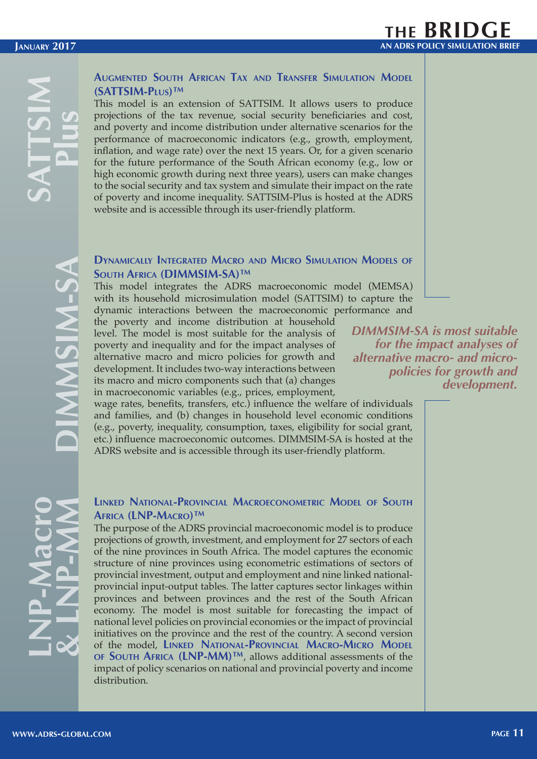#### **Augmented South African Tax and Transfer Simulation Model (SATTSIM-Plus)™**

This model is an extension of SATTSIM. It allows users to produce projections of the tax revenue, social security beneficiaries and cost, and poverty and income distribution under alternative scenarios for the performance of macroeconomic indicators (e.g., growth, employment, inflation, and wage rate) over the next 15 years. Or, for a given scenario for the future performance of the South African economy (e.g., low or high economic growth during next three years), users can make changes to the social security and tax system and simulate their impact on the rate of poverty and income inequality. SATTSIM-Plus is hosted at the ADRS website and is accessible through its user-friendly platform.

#### **Dynamically Integrated Macro and Micro Simulation Models of South Africa (DIMMSIM-SA)™**

This model integrates the ADRS macroeconomic model (MEMSA) with its household microsimulation model (SATTSIM) to capture the dynamic interactions between the macroeconomic performance and

the poverty and income distribution at household level. The model is most suitable for the analysis of poverty and inequality and for the impact analyses of alternative macro and micro policies for growth and development. It includes two-way interactions between its macro and micro components such that (a) changes in macroeconomic variables (e.g., prices, employment,

*DIMMSIM-SA is most suitable for the impact analyses of alternative macro- and micropolicies for growth and development.*

wage rates, benefits, transfers, etc.) influence the welfare of individuals and families, and (b) changes in household level economic conditions (e.g., poverty, inequality, consumption, taxes, eligibility for social grant, etc.) influence macroeconomic outcomes. DIMMSIM-SA is hosted at the ADRS website and is accessible through its user-friendly platform.

#### **Linked National-Provincial Macroeconometric Model of South Africa (LNP-Macro)™**

The purpose of the ADRS provincial macroeconomic model is to produce projections of growth, investment, and employment for 27 sectors of each of the nine provinces in South Africa. The model captures the economic structure of nine provinces using econometric estimations of sectors of provincial investment, output and employment and nine linked nationalprovincial input-output tables. The latter captures sector linkages within provinces and between provinces and the rest of the South African economy. The model is most suitable for forecasting the impact of national level policies on provincial economies or the impact of provincial initiatives on the province and the rest of the country. A second version of the model, **Linked National-Provincial Macro-Micro Model of South Africa (LNP-MM)™**, allows additional assessments of the impact of policy scenarios on national and provincial poverty and income distribution.

**LNP-Macro**

**& LNP-MM**